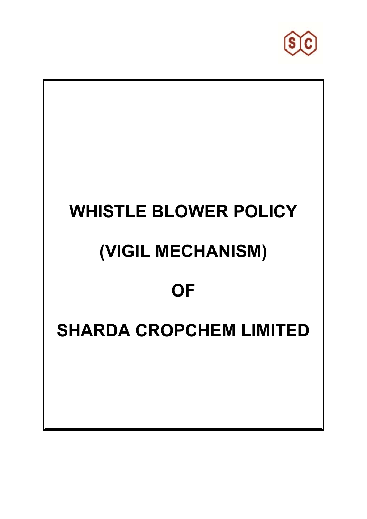

# **WHISTLE BLOWER POLICY (VIGIL MECHANISM) OF SHARDA CROPCHEM LIMITED**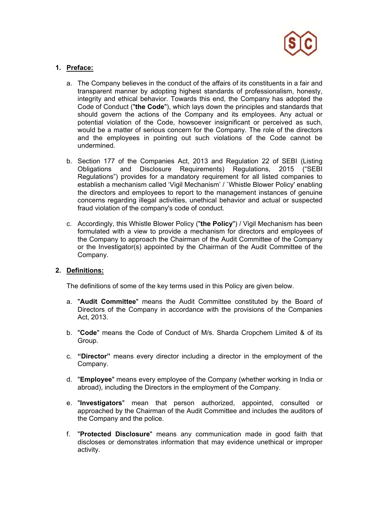

# **1. Preface:**

- a. The Company believes in the conduct of the affairs of its constituents in a fair and transparent manner by adopting highest standards of professionalism, honesty, integrity and ethical behavior. Towards this end, the Company has adopted the Code of Conduct ("**the Code**"), which lays down the principles and standards that should govern the actions of the Company and its employees. Any actual or potential violation of the Code, howsoever insignificant or perceived as such, would be a matter of serious concern for the Company. The role of the directors and the employees in pointing out such violations of the Code cannot be undermined.
- b. Section 177 of the Companies Act, 2013 and Regulation 22 of SEBI (Listing Obligations and Disclosure Requirements) Regulations, 2015 ("SEBI Regulations") provides for a mandatory requirement for all listed companies to establish a mechanism called 'Vigil Mechanism' / `Whistle Blower Policy' enabling the directors and employees to report to the management instances of genuine concerns regarding illegal activities, unethical behavior and actual or suspected fraud violation of the company's code of conduct.
- c. Accordingly, this Whistle Blower Policy ("**the Policy**") / Vigil Mechanism has been formulated with a view to provide a mechanism for directors and employees of the Company to approach the Chairman of the Audit Committee of the Company or the Investigator(s) appointed by the Chairman of the Audit Committee of the Company.

## **2. Definitions:**

The definitions of some of the key terms used in this Policy are given below.

- a. "**Audit Committee**" means the Audit Committee constituted by the Board of Directors of the Company in accordance with the provisions of the Companies Act, 2013.
- b. "**Code**" means the Code of Conduct of M/s. Sharda Cropchem Limited & of its Group.
- c. **"Director"** means every director including a director in the employment of the Company.
- d. "**Employee**" means every employee of the Company (whether working in India or abroad), including the Directors in the employment of the Company.
- e. "**Investigators**" mean that person authorized, appointed, consulted or approached by the Chairman of the Audit Committee and includes the auditors of the Company and the police.
- f. "**Protected Disclosure**" means any communication made in good faith that discloses or demonstrates information that may evidence unethical or improper activity.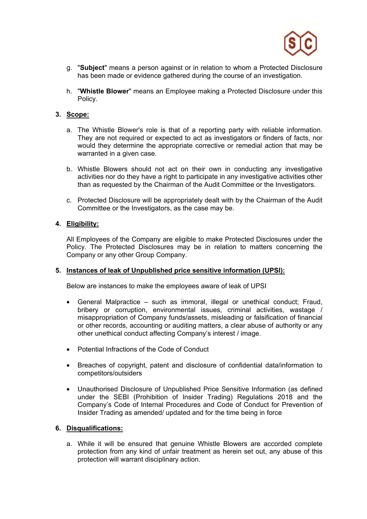

- g. "**Subject**" means a person against or in relation to whom a Protected Disclosure has been made or evidence gathered during the course of an investigation.
- h. "**Whistle Blower**" means an Employee making a Protected Disclosure under this Policy.

## **3. Scope:**

- a. The Whistle Blower's role is that of a reporting party with reliable information. They are not required or expected to act as investigators or finders of facts, nor would they determine the appropriate corrective or remedial action that may be warranted in a given case.
- b. Whistle Blowers should not act on their own in conducting any investigative activities nor do they have a right to participate in any investigative activities other than as requested by the Chairman of the Audit Committee or the Investigators.
- c. Protected Disclosure will be appropriately dealt with by the Chairman of the Audit Committee or the Investigators, as the case may be.

## **4. Eligibility:**

All Employees of the Company are eligible to make Protected Disclosures under the Policy. The Protected Disclosures may be in relation to matters concerning the Company or any other Group Company.

## **5. Instances of leak of Unpublished price sensitive information (UPSI):**

Below are instances to make the employees aware of leak of UPSI

- General Malpractice such as immoral, illegal or unethical conduct; Fraud, bribery or corruption, environmental issues, criminal activities, wastage / misappropriation of Company funds/assets, misleading or falsification of financial or other records, accounting or auditing matters, a clear abuse of authority or any other unethical conduct affecting Company's interest / image.
- Potential Infractions of the Code of Conduct
- Breaches of copyright, patent and disclosure of confidential data/information to competitors/outsiders
- Unauthorised Disclosure of Unpublished Price Sensitive Information (as defined under the SEBI (Prohibition of Insider Trading) Regulations 2018 and the Company's Code of Internal Procedures and Code of Conduct for Prevention of Insider Trading as amended/ updated and for the time being in force

# **6. Disqualifications:**

a. While it will be ensured that genuine Whistle Blowers are accorded complete protection from any kind of unfair treatment as herein set out, any abuse of this protection will warrant disciplinary action.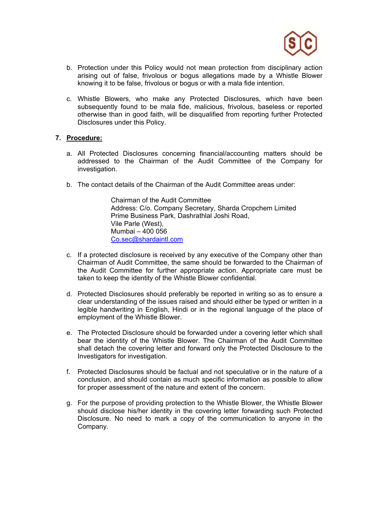

- b. Protection under this Policy would not mean protection from disciplinary action arising out of false, frivolous or bogus allegations made by a Whistle Blower knowing it to be false, frivolous or bogus or with a mala fide intention.
- c. Whistle Blowers, who make any Protected Disclosures, which have been subsequently found to be mala fide, malicious, frivolous, baseless or reported otherwise than in good faith, will be disqualified from reporting further Protected Disclosures under this Policy.

## **7. Procedure:**

- a. All Protected Disclosures concerning financial/accounting matters should be addressed to the Chairman of the Audit Committee of the Company for investigation.
- b. The contact details of the Chairman of the Audit Committee areas under:

 Chairman of the Audit Committee Address: C/o. Company Secretary, Sharda Cropchem Limited Prime Business Park, Dashrathlal Joshi Road, Vile Parle (West), Mumbai – 400 056 Co.sec@shardaintl.com

- c. If a protected disclosure is received by any executive of the Company other than Chairman of Audit Committee, the same should be forwarded to the Chairman of the Audit Committee for further appropriate action. Appropriate care must be taken to keep the identity of the Whistle Blower confidential.
- d. Protected Disclosures should preferably be reported in writing so as to ensure a clear understanding of the issues raised and should either be typed or written in a legible handwriting in English, Hindi or in the regional language of the place of employment of the Whistle Blower.
- e. The Protected Disclosure should be forwarded under a covering letter which shall bear the identity of the Whistle Blower. The Chairman of the Audit Committee shall detach the covering letter and forward only the Protected Disclosure to the Investigators for investigation.
- f. Protected Disclosures should be factual and not speculative or in the nature of a conclusion, and should contain as much specific information as possible to allow for proper assessment of the nature and extent of the concern.
- g. For the purpose of providing protection to the Whistle Blower, the Whistle Blower should disclose his/her identity in the covering letter forwarding such Protected Disclosure. No need to mark a copy of the communication to anyone in the Company.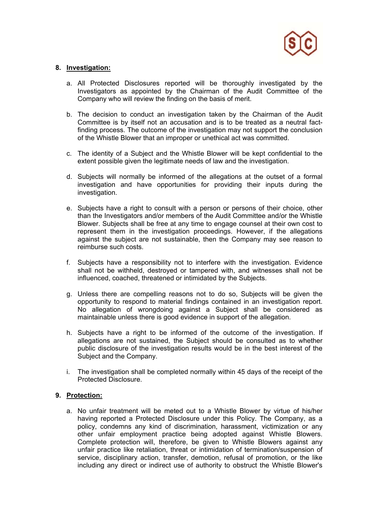

### **8. Investigation:**

- a. All Protected Disclosures reported will be thoroughly investigated by the Investigators as appointed by the Chairman of the Audit Committee of the Company who will review the finding on the basis of merit.
- b. The decision to conduct an investigation taken by the Chairman of the Audit Committee is by itself not an accusation and is to be treated as a neutral factfinding process. The outcome of the investigation may not support the conclusion of the Whistle Blower that an improper or unethical act was committed.
- c. The identity of a Subject and the Whistle Blower will be kept confidential to the extent possible given the legitimate needs of law and the investigation.
- d. Subjects will normally be informed of the allegations at the outset of a formal investigation and have opportunities for providing their inputs during the investigation.
- e. Subjects have a right to consult with a person or persons of their choice, other than the Investigators and/or members of the Audit Committee and/or the Whistle Blower. Subjects shall be free at any time to engage counsel at their own cost to represent them in the investigation proceedings. However, if the allegations against the subject are not sustainable, then the Company may see reason to reimburse such costs.
- f. Subjects have a responsibility not to interfere with the investigation. Evidence shall not be withheld, destroyed or tampered with, and witnesses shall not be influenced, coached, threatened or intimidated by the Subjects.
- g. Unless there are compelling reasons not to do so, Subjects will be given the opportunity to respond to material findings contained in an investigation report. No allegation of wrongdoing against a Subject shall be considered as maintainable unless there is good evidence in support of the allegation.
- h. Subjects have a right to be informed of the outcome of the investigation. If allegations are not sustained, the Subject should be consulted as to whether public disclosure of the investigation results would be in the best interest of the Subject and the Company.
- i. The investigation shall be completed normally within 45 days of the receipt of the Protected Disclosure.

### **9. Protection:**

a. No unfair treatment will be meted out to a Whistle Blower by virtue of his/her having reported a Protected Disclosure under this Policy. The Company, as a policy, condemns any kind of discrimination, harassment, victimization or any other unfair employment practice being adopted against Whistle Blowers. Complete protection will, therefore, be given to Whistle Blowers against any unfair practice like retaliation, threat or intimidation of termination/suspension of service, disciplinary action, transfer, demotion, refusal of promotion, or the like including any direct or indirect use of authority to obstruct the Whistle Blower's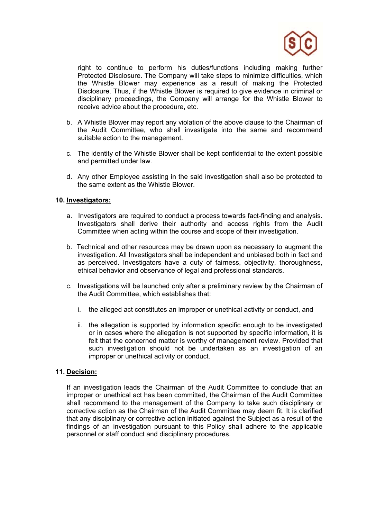

right to continue to perform his duties/functions including making further Protected Disclosure. The Company will take steps to minimize difficulties, which the Whistle Blower may experience as a result of making the Protected Disclosure. Thus, if the Whistle Blower is required to give evidence in criminal or disciplinary proceedings, the Company will arrange for the Whistle Blower to receive advice about the procedure, etc.

- b. A Whistle Blower may report any violation of the above clause to the Chairman of the Audit Committee, who shall investigate into the same and recommend suitable action to the management.
- c. The identity of the Whistle Blower shall be kept confidential to the extent possible and permitted under law.
- d. Any other Employee assisting in the said investigation shall also be protected to the same extent as the Whistle Blower.

### **10. Investigators:**

- a. Investigators are required to conduct a process towards fact-finding and analysis. Investigators shall derive their authority and access rights from the Audit Committee when acting within the course and scope of their investigation.
- b. Technical and other resources may be drawn upon as necessary to augment the investigation. All Investigators shall be independent and unbiased both in fact and as perceived. Investigators have a duty of fairness, objectivity, thoroughness, ethical behavior and observance of legal and professional standards.
- c. Investigations will be launched only after a preliminary review by the Chairman of the Audit Committee, which establishes that:
	- i. the alleged act constitutes an improper or unethical activity or conduct, and
	- ii. the allegation is supported by information specific enough to be investigated or in cases where the allegation is not supported by specific information, it is felt that the concerned matter is worthy of management review. Provided that such investigation should not be undertaken as an investigation of an improper or unethical activity or conduct.

## **11. Decision:**

If an investigation leads the Chairman of the Audit Committee to conclude that an improper or unethical act has been committed, the Chairman of the Audit Committee shall recommend to the management of the Company to take such disciplinary or corrective action as the Chairman of the Audit Committee may deem fit. It is clarified that any disciplinary or corrective action initiated against the Subject as a result of the findings of an investigation pursuant to this Policy shall adhere to the applicable personnel or staff conduct and disciplinary procedures.